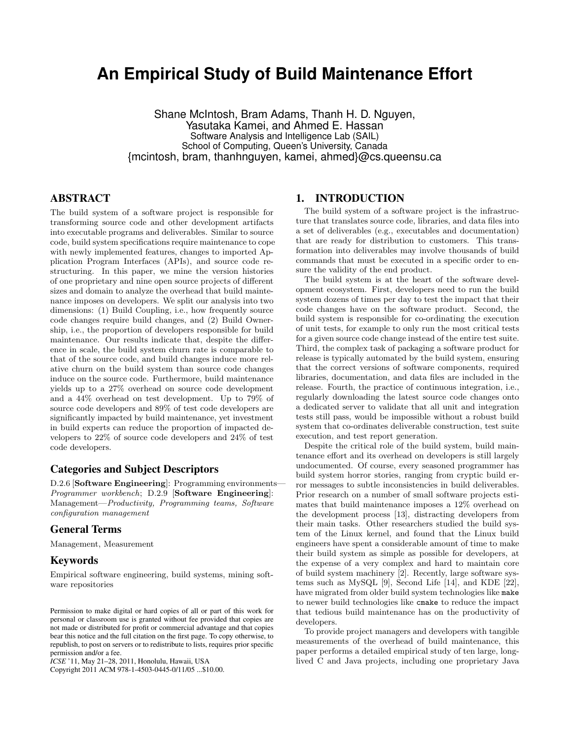# **An Empirical Study of Build Maintenance Effort**

Shane McIntosh, Bram Adams, Thanh H. D. Nguyen, Yasutaka Kamei, and Ahmed E. Hassan Software Analysis and Intelligence Lab (SAIL) School of Computing, Queen's University, Canada {mcintosh, bram, thanhnguyen, kamei, ahmed}@cs.queensu.ca

## ABSTRACT

The build system of a software project is responsible for transforming source code and other development artifacts into executable programs and deliverables. Similar to source code, build system specifications require maintenance to cope with newly implemented features, changes to imported Application Program Interfaces (APIs), and source code restructuring. In this paper, we mine the version histories of one proprietary and nine open source projects of different sizes and domain to analyze the overhead that build maintenance imposes on developers. We split our analysis into two dimensions: (1) Build Coupling, i.e., how frequently source code changes require build changes, and (2) Build Ownership, i.e., the proportion of developers responsible for build maintenance. Our results indicate that, despite the difference in scale, the build system churn rate is comparable to that of the source code, and build changes induce more relative churn on the build system than source code changes induce on the source code. Furthermore, build maintenance yields up to a 27% overhead on source code development and a 44% overhead on test development. Up to 79% of source code developers and 89% of test code developers are significantly impacted by build maintenance, yet investment in build experts can reduce the proportion of impacted developers to 22% of source code developers and 24% of test code developers.

### Categories and Subject Descriptors

D.2.6 [Software Engineering]: Programming environments— Programmer workbench; D.2.9 [Software Engineering]: Management—Productivity, Programming teams, Software configuration management

## General Terms

Management, Measurement

## Keywords

Empirical software engineering, build systems, mining software repositories

Copyright 2011 ACM 978-1-4503-0445-0/11/05 ...\$10.00.

## 1. INTRODUCTION

The build system of a software project is the infrastructure that translates source code, libraries, and data files into a set of deliverables (e.g., executables and documentation) that are ready for distribution to customers. This transformation into deliverables may involve thousands of build commands that must be executed in a specific order to ensure the validity of the end product.

The build system is at the heart of the software development ecosystem. First, developers need to run the build system dozens of times per day to test the impact that their code changes have on the software product. Second, the build system is responsible for co-ordinating the execution of unit tests, for example to only run the most critical tests for a given source code change instead of the entire test suite. Third, the complex task of packaging a software product for release is typically automated by the build system, ensuring that the correct versions of software components, required libraries, documentation, and data files are included in the release. Fourth, the practice of continuous integration, i.e., regularly downloading the latest source code changes onto a dedicated server to validate that all unit and integration tests still pass, would be impossible without a robust build system that co-ordinates deliverable construction, test suite execution, and test report generation.

Despite the critical role of the build system, build maintenance effort and its overhead on developers is still largely undocumented. Of course, every seasoned programmer has build system horror stories, ranging from cryptic build error messages to subtle inconsistencies in build deliverables. Prior research on a number of small software projects estimates that build maintenance imposes a 12% overhead on the development process [13], distracting developers from their main tasks. Other researchers studied the build system of the Linux kernel, and found that the Linux build engineers have spent a considerable amount of time to make their build system as simple as possible for developers, at the expense of a very complex and hard to maintain core of build system machinery [2]. Recently, large software systems such as MySQL [9], Second Life [14], and KDE [22], have migrated from older build system technologies like make to newer build technologies like cmake to reduce the impact that tedious build maintenance has on the productivity of developers.

To provide project managers and developers with tangible measurements of the overhead of build maintenance, this paper performs a detailed empirical study of ten large, longlived C and Java projects, including one proprietary Java

Permission to make digital or hard copies of all or part of this work for personal or classroom use is granted without fee provided that copies are not made or distributed for profit or commercial advantage and that copies bear this notice and the full citation on the first page. To copy otherwise, to republish, to post on servers or to redistribute to lists, requires prior specific permission and/or a fee.

*ICSE* '11, May 21–28, 2011, Honolulu, Hawaii, USA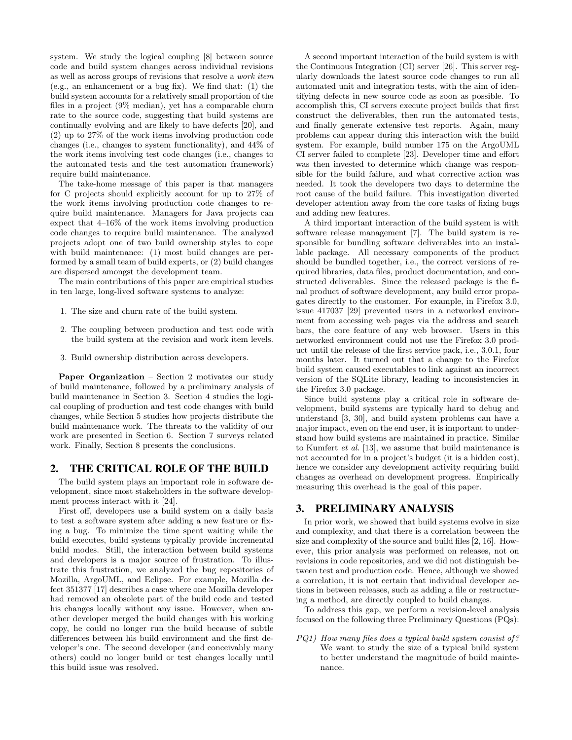system. We study the logical coupling [8] between source code and build system changes across individual revisions as well as across groups of revisions that resolve a work item (e.g., an enhancement or a bug fix). We find that: (1) the build system accounts for a relatively small proportion of the files in a project (9% median), yet has a comparable churn rate to the source code, suggesting that build systems are continually evolving and are likely to have defects [20], and (2) up to 27% of the work items involving production code changes (i.e., changes to system functionality), and 44% of the work items involving test code changes (i.e., changes to the automated tests and the test automation framework) require build maintenance.

The take-home message of this paper is that managers for C projects should explicitly account for up to 27% of the work items involving production code changes to require build maintenance. Managers for Java projects can expect that 4–16% of the work items involving production code changes to require build maintenance. The analyzed projects adopt one of two build ownership styles to cope with build maintenance: (1) most build changes are performed by a small team of build experts, or (2) build changes are dispersed amongst the development team.

The main contributions of this paper are empirical studies in ten large, long-lived software systems to analyze:

- 1. The size and churn rate of the build system.
- 2. The coupling between production and test code with the build system at the revision and work item levels.
- 3. Build ownership distribution across developers.

Paper Organization – Section 2 motivates our study of build maintenance, followed by a preliminary analysis of build maintenance in Section 3. Section 4 studies the logical coupling of production and test code changes with build changes, while Section 5 studies how projects distribute the build maintenance work. The threats to the validity of our work are presented in Section 6. Section 7 surveys related work. Finally, Section 8 presents the conclusions.

#### 2. THE CRITICAL ROLE OF THE BUILD

The build system plays an important role in software development, since most stakeholders in the software development process interact with it [24].

First off, developers use a build system on a daily basis to test a software system after adding a new feature or fixing a bug. To minimize the time spent waiting while the build executes, build systems typically provide incremental build modes. Still, the interaction between build systems and developers is a major source of frustration. To illustrate this frustration, we analyzed the bug repositories of Mozilla, ArgoUML, and Eclipse. For example, Mozilla defect 351377 [17] describes a case where one Mozilla developer had removed an obsolete part of the build code and tested his changes locally without any issue. However, when another developer merged the build changes with his working copy, he could no longer run the build because of subtle differences between his build environment and the first developer's one. The second developer (and conceivably many others) could no longer build or test changes locally until this build issue was resolved.

A second important interaction of the build system is with the Continuous Integration (CI) server [26]. This server regularly downloads the latest source code changes to run all automated unit and integration tests, with the aim of identifying defects in new source code as soon as possible. To accomplish this, CI servers execute project builds that first construct the deliverables, then run the automated tests, and finally generate extensive test reports. Again, many problems can appear during this interaction with the build system. For example, build number 175 on the ArgoUML CI server failed to complete [23]. Developer time and effort was then invested to determine which change was responsible for the build failure, and what corrective action was needed. It took the developers two days to determine the root cause of the build failure. This investigation diverted developer attention away from the core tasks of fixing bugs and adding new features.

A third important interaction of the build system is with software release management [7]. The build system is responsible for bundling software deliverables into an installable package. All necessary components of the product should be bundled together, i.e., the correct versions of required libraries, data files, product documentation, and constructed deliverables. Since the released package is the final product of software development, any build error propagates directly to the customer. For example, in Firefox 3.0, issue 417037 [29] prevented users in a networked environment from accessing web pages via the address and search bars, the core feature of any web browser. Users in this networked environment could not use the Firefox 3.0 product until the release of the first service pack, i.e., 3.0.1, four months later. It turned out that a change to the Firefox build system caused executables to link against an incorrect version of the SQLite library, leading to inconsistencies in the Firefox 3.0 package.

Since build systems play a critical role in software development, build systems are typically hard to debug and understand [3, 30], and build system problems can have a major impact, even on the end user, it is important to understand how build systems are maintained in practice. Similar to Kumfert et al. [13], we assume that build maintenance is not accounted for in a project's budget (it is a hidden cost), hence we consider any development activity requiring build changes as overhead on development progress. Empirically measuring this overhead is the goal of this paper.

## 3. PRELIMINARY ANALYSIS

In prior work, we showed that build systems evolve in size and complexity, and that there is a correlation between the size and complexity of the source and build files [2, 16]. However, this prior analysis was performed on releases, not on revisions in code repositories, and we did not distinguish between test and production code. Hence, although we showed a correlation, it is not certain that individual developer actions in between releases, such as adding a file or restructuring a method, are directly coupled to build changes.

To address this gap, we perform a revision-level analysis focused on the following three Preliminary Questions (PQs):

PQ1) How many files does a typical build system consist of? We want to study the size of a typical build system to better understand the magnitude of build maintenance.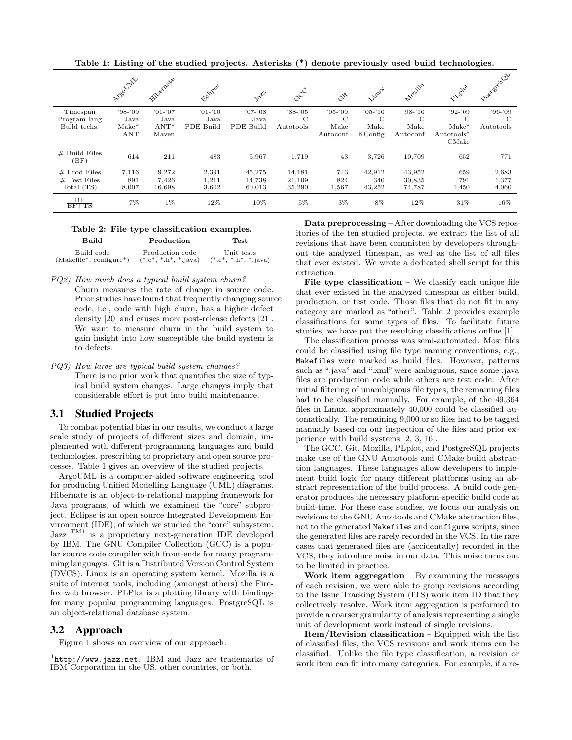Table 1: Listing of the studied projects. Asterisks (\*) denote previously used build technologies.

|                                                | Argolaty                            | Filograde                             | <b>11</b> pee                  |                                | $c^{C}$                     | $\ddot{G}^{\times}$                            | <b>Sinux</b>                                  | Molilla                                  |                                                  | Posterecoly                 |
|------------------------------------------------|-------------------------------------|---------------------------------------|--------------------------------|--------------------------------|-----------------------------|------------------------------------------------|-----------------------------------------------|------------------------------------------|--------------------------------------------------|-----------------------------|
| Timespan<br>Program lang<br>Build techs.       | $'98-'09$<br>Java<br>$Make*$<br>ANT | $'01-'07$<br>Java<br>$ANT^*$<br>Mayen | $'01-'10$<br>Java<br>PDE Build | $'07-'08$<br>Java<br>PDE Build | $'88-'05$<br>C<br>Autotools | $'05-'09$<br>$\mathcal{C}$<br>Make<br>Autoconf | $'05-'10$<br>$\mathcal{C}$<br>Make<br>KConfig | $'98-'10$<br>$\rm C$<br>Make<br>Autoconf | $'92-'09$<br>C<br>$Make*$<br>Autotools*<br>CMake | $'96-'09$<br>C<br>Autotools |
| $#$ Build Files<br>(BF)                        | 614                                 | 211                                   | 483                            | 5.967                          | 1,719                       | 43                                             | 3,726                                         | 10,709                                   | 652                                              | 771                         |
| $#$ Prod Files<br>$#$ Test Files<br>Total (TS) | 7,116<br>891<br>8,007               | 9,272<br>7,426<br>16,698              | 2,391<br>1,211<br>3,602        | 45,275<br>14.738<br>60,013     | 14,181<br>21,109<br>35,290  | 743<br>824<br>1,567                            | 42,912<br>340<br>43,252                       | 43,952<br>30,835<br>74,787               | 659<br>791<br>1,450                              | 2,683<br>1,377<br>4,060     |
| BF<br>$BF+TS$                                  | $7\%$                               | $1\%$                                 | 12%                            | 10%                            | 5%                          | 3%                                             | 8%                                            | 12%                                      | 31%                                              | 16%                         |

| Table 2: File type classification examples. |  |
|---------------------------------------------|--|
|---------------------------------------------|--|

| <b>Build</b>              | Production           | Test                   |
|---------------------------|----------------------|------------------------|
| Build code                | Production code      | Unit tests             |
| $(Makefile*, configure*)$ | $(*c*, *h*, **iava)$ | $(*c*,*, h*, *, iava)$ |

PQ2) How much does a typical build system churn? Churn measures the rate of change in source code. Prior studies have found that frequently changing source code, i.e., code with high churn, has a higher defect density [20] and causes more post-release defects [21]. We want to measure churn in the build system to gain insight into how susceptible the build system is to defects.

PQ3) How large are typical build system changes? There is no prior work that quantifies the size of typical build system changes. Large changes imply that considerable effort is put into build maintenance.

## 3.1 Studied Projects

To combat potential bias in our results, we conduct a large scale study of projects of different sizes and domain, implemented with different programming languages and build technologies, prescribing to proprietary and open source processes. Table 1 gives an overview of the studied projects.

ArgoUML is a computer-aided software engineering tool for producing Unified Modelling Language (UML) diagrams. Hibernate is an object-to-relational mapping framework for Java programs, of which we examined the "core" subproject. Eclipse is an open source Integrated Development Environment (IDE), of which we studied the "core" subsystem. Jazz $^{TM1}$  is a proprietary next-generation IDE developed by IBM. The GNU Compiler Collection (GCC) is a popular source code compiler with front-ends for many programming languages. Git is a Distributed Version Control System (DVCS). Linux is an operating system kernel. Mozilla is a suite of internet tools, including (amongst others) the Firefox web browser. PLPlot is a plotting library with bindings for many popular programming languages. PostgreSQL is an object-relational database system.

#### 3.2 Approach

Figure 1 shows an overview of our approach.

Data preprocessing – After downloading the VCS repositories of the ten studied projects, we extract the list of all revisions that have been committed by developers throughout the analyzed timespan, as well as the list of all files that ever existed. We wrote a dedicated shell script for this extraction.

File type classification  $-$  We classify each unique file that ever existed in the analyzed timespan as either build, production, or test code. Those files that do not fit in any category are marked as "other". Table 2 provides example classifications for some types of files. To facilitate future studies, we have put the resulting classifications online [1].

The classification process was semi-automated. Most files could be classified using file type naming conventions, e.g., Makefiles were marked as build files. However, patterns such as ".java" and ".xml" were ambiguous, since some .java files are production code while others are test code. After initial filtering of unambiguous file types, the remaining files had to be classified manually. For example, of the 49,364 files in Linux, approximately 40,000 could be classified automatically. The remaining 9,000 or so files had to be tagged manually based on our inspection of the files and prior experience with build systems [2, 3, 16].

The GCC, Git, Mozilla, PLplot, and PostgreSQL projects make use of the GNU Autotools and CMake build abstraction languages. These languages allow developers to implement build logic for many different platforms using an abstract representation of the build process. A build code generator produces the necessary platform-specific build code at build-time. For these case studies, we focus our analysis on revisions to the GNU Autotools and CMake abstraction files, not to the generated Makefiles and configure scripts, since the generated files are rarely recorded in the VCS. In the rare cases that generated files are (accidentally) recorded in the VCS, they introduce noise in our data. This noise turns out to be limited in practice.

Work item aggregation  $-$  By examining the messages of each revision, we were able to group revisions according to the Issue Tracking System (ITS) work item ID that they collectively resolve. Work item aggregation is performed to provide a coarser granularity of analysis representing a single unit of development work instead of single revisions.

 $Item/Revision$  classification – Equipped with the list of classified files, the VCS revisions and work items can be classified. Unlike the file type classification, a revision or work item can fit into many categories. For example, if a re-

<sup>&</sup>lt;sup>1</sup>http://www.jazz.net. IBM and Jazz are trademarks of IBM Corporation in the US, other countries, or both.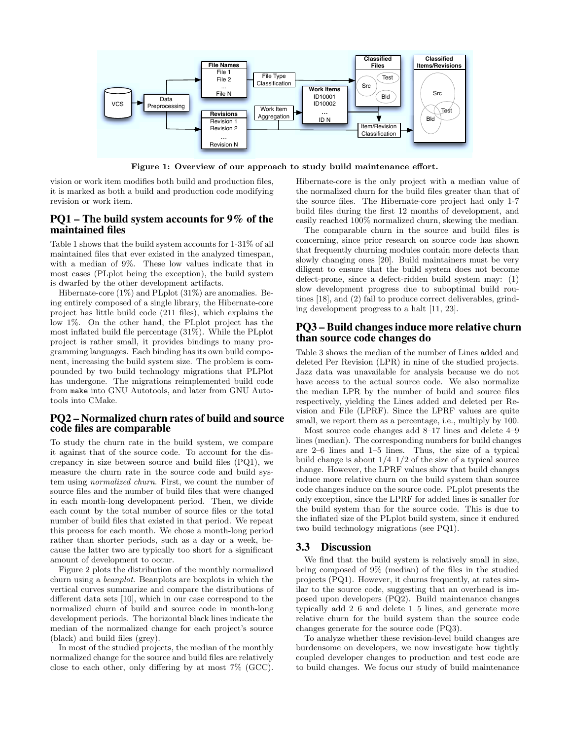

Figure 1: Overview of our approach to study build maintenance effort.

vision or work item modifies both build and production files, it is marked as both a build and production code modifying revision or work item.

## PQ1 – The build system accounts for 9% of the maintained files

Table 1 shows that the build system accounts for 1-31% of all maintained files that ever existed in the analyzed timespan, with a median of 9%. These low values indicate that in most cases (PLplot being the exception), the build system is dwarfed by the other development artifacts.

Hibernate-core (1%) and PLplot (31%) are anomalies. Being entirely composed of a single library, the Hibernate-core project has little build code (211 files), which explains the low 1%. On the other hand, the PLplot project has the most inflated build file percentage (31%). While the PLplot project is rather small, it provides bindings to many programming languages. Each binding has its own build component, increasing the build system size. The problem is compounded by two build technology migrations that PLPlot has undergone. The migrations reimplemented build code from make into GNU Autotools, and later from GNU Autotools into CMake.

#### PQ2 – Normalized churn rates of build and source code files are comparable

To study the churn rate in the build system, we compare it against that of the source code. To account for the discrepancy in size between source and build files (PQ1), we measure the churn rate in the source code and build system using normalized churn. First, we count the number of source files and the number of build files that were changed in each month-long development period. Then, we divide each count by the total number of source files or the total number of build files that existed in that period. We repeat this process for each month. We chose a month-long period rather than shorter periods, such as a day or a week, because the latter two are typically too short for a significant amount of development to occur.

Figure 2 plots the distribution of the monthly normalized churn using a beanplot. Beanplots are boxplots in which the vertical curves summarize and compare the distributions of different data sets [10], which in our case correspond to the normalized churn of build and source code in month-long development periods. The horizontal black lines indicate the median of the normalized change for each project's source (black) and build files (grey).

In most of the studied projects, the median of the monthly normalized change for the source and build files are relatively close to each other, only differing by at most 7% (GCC). Hibernate-core is the only project with a median value of the normalized churn for the build files greater than that of the source files. The Hibernate-core project had only 1-7 build files during the first 12 months of development, and easily reached 100% normalized churn, skewing the median.

The comparable churn in the source and build files is concerning, since prior research on source code has shown that frequently churning modules contain more defects than slowly changing ones [20]. Build maintainers must be very diligent to ensure that the build system does not become defect-prone, since a defect-ridden build system may: (1) slow development progress due to suboptimal build routines [18], and (2) fail to produce correct deliverables, grinding development progress to a halt [11, 23].

## PQ3 – Build changes induce more relative churn than source code changes do

Table 3 shows the median of the number of Lines added and deleted Per Revision (LPR) in nine of the studied projects. Jazz data was unavailable for analysis because we do not have access to the actual source code. We also normalize the median LPR by the number of build and source files respectively, yielding the Lines added and deleted per Revision and File (LPRF). Since the LPRF values are quite small, we report them as a percentage, i.e., multiply by 100.

Most source code changes add 8–17 lines and delete 4–9 lines (median). The corresponding numbers for build changes are 2–6 lines and 1–5 lines. Thus, the size of a typical build change is about  $1/4-1/2$  of the size of a typical source change. However, the LPRF values show that build changes induce more relative churn on the build system than source code changes induce on the source code. PLplot presents the only exception, since the LPRF for added lines is smaller for the build system than for the source code. This is due to the inflated size of the PLplot build system, since it endured two build technology migrations (see PQ1).

#### 3.3 Discussion

We find that the build system is relatively small in size, being composed of 9% (median) of the files in the studied projects (PQ1). However, it churns frequently, at rates similar to the source code, suggesting that an overhead is imposed upon developers (PQ2). Build maintenance changes typically add 2–6 and delete 1–5 lines, and generate more relative churn for the build system than the source code changes generate for the source code (PQ3).

To analyze whether these revision-level build changes are burdensome on developers, we now investigate how tightly coupled developer changes to production and test code are to build changes. We focus our study of build maintenance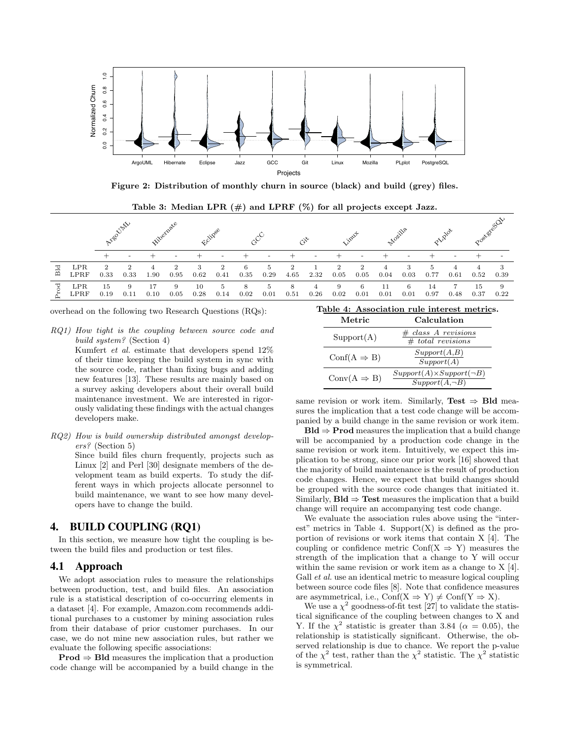

Figure 2: Distribution of monthly churn in source (black) and build (grey) files.

Table 3: Median LPR  $(\#)$  and LPRF  $(\%)$  for all projects except Jazz.

|      |                    | N'eo Unh   |                                     | <b>illerity</b> |           |            |           |           |            |           |                        |                        |                                     |            |           |            |      | Postage CDV |            |
|------|--------------------|------------|-------------------------------------|-----------------|-----------|------------|-----------|-----------|------------|-----------|------------------------|------------------------|-------------------------------------|------------|-----------|------------|------|-------------|------------|
|      |                    |            |                                     |                 |           |            |           |           |            |           |                        |                        |                                     |            |           |            |      |             |            |
| Bld  | <b>LPR</b><br>LPRF | 2<br>0.33  | $\mathcal{D}_{\mathcal{L}}$<br>0.33 | 1.90            | 2<br>0.95 | 3<br>0.62  | 2<br>0.41 | 6<br>0.35 | 5.<br>0.29 | 4.65      | 2.32                   | $\overline{2}$<br>0.05 | $\mathcal{D}_{\mathcal{L}}$<br>0.05 | 0.04       | 3<br>0.03 | 0.77       | 0.61 | 0.52        | 3<br>0.39  |
| Prod | LPR<br>LPRF        | 15<br>0.19 | 9<br>0.11                           | 17<br>0.10      | 9<br>0.05 | 10<br>0.28 | 5<br>0.14 | 8<br>0.02 | 5<br>0.01  | 8<br>0.51 | $\overline{4}$<br>0.26 | 9<br>0.02              | 6<br>0.01                           | 11<br>0.01 | 6<br>0.01 | 14<br>0.97 | 0.48 | 15<br>0.37  | -9<br>0.22 |

overhead on the following two Research Questions (RQs):

RQ1) How tight is the coupling between source code and build system? (Section 4)

> Kumfert et al. estimate that developers spend 12% of their time keeping the build system in sync with the source code, rather than fixing bugs and adding new features [13]. These results are mainly based on a survey asking developers about their overall build maintenance investment. We are interested in rigorously validating these findings with the actual changes developers make.

RQ2) How is build ownership distributed amongst developers? (Section 5) Since build files churn frequently, projects such as Linux [2] and Perl [30] designate members of the development team as build experts. To study the different ways in which projects allocate personnel to build maintenance, we want to see how many developers have to change the build.

## 4. BUILD COUPLING (RQ1)

In this section, we measure how tight the coupling is between the build files and production or test files.

#### 4.1 Approach

We adopt association rules to measure the relationships between production, test, and build files. An association rule is a statistical description of co-occurring elements in a dataset [4]. For example, Amazon.com recommends additional purchases to a customer by mining association rules from their database of prior customer purchases. In our case, we do not mine new association rules, but rather we evaluate the following specific associations:

Prod ⇒ Bld measures the implication that a production code change will be accompanied by a build change in the

#### Table 4: Association rule interest metrics.

| Metric                  | Calculation                                                |
|-------------------------|------------------------------------------------------------|
| Support(A)              | $# class A$ revisions<br>$#$ total revisions               |
| $Conf(A \Rightarrow B)$ | Support(A,B)<br>Support(A)                                 |
| $Conv(A \Rightarrow B)$ | $Support(A)\times Support(\neg B)$<br>$Support(A, \neg B)$ |

same revision or work item. Similarly, Test  $\Rightarrow$  Bld measures the implication that a test code change will be accompanied by a build change in the same revision or work item.

 $Bld \Rightarrow \text{Prod measures the implication that a build change}$ will be accompanied by a production code change in the same revision or work item. Intuitively, we expect this implication to be strong, since our prior work [16] showed that the majority of build maintenance is the result of production code changes. Hence, we expect that build changes should be grouped with the source code changes that initiated it. Similarly,  $Bld \Rightarrow Test$  measures the implication that a build change will require an accompanying test code change.

We evaluate the association rules above using the "interest" metrics in Table 4. Support $(X)$  is defined as the proportion of revisions or work items that contain X [4]. The coupling or confidence metric  $Conf(X \Rightarrow Y)$  measures the strength of the implication that a change to Y will occur within the same revision or work item as a change to X [4]. Gall *et al.* use an identical metric to measure logical coupling between source code files [8]. Note that confidence measures are asymmetrical, i.e.,  $Conf(X \Rightarrow Y) \neq Conf(Y \Rightarrow X)$ .

We use a  $\chi^2$  goodness-of-fit test [27] to validate the statistical significance of the coupling between changes to X and Y. If the  $\chi^2$  statistic is greater than 3.84 ( $\alpha = 0.05$ ), the relationship is statistically significant. Otherwise, the observed relationship is due to chance. We report the p-value of the  $\chi^2$  test, rather than the  $\chi^2$  statistic. The  $\chi^2$  statistic is symmetrical.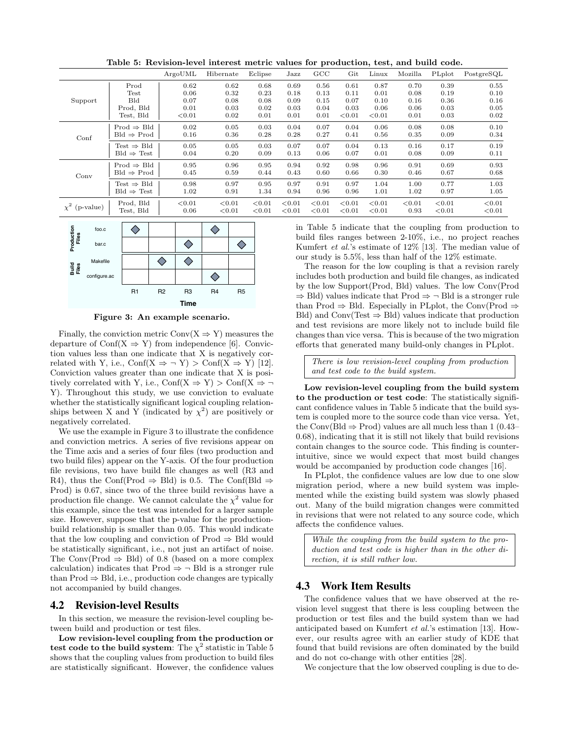|                    |                        | ArgoUML | Hibernate | Eclipse | Jazz        | GCC       | Git    | Linux  | Mozilla | PLplot | PostgreSQL |
|--------------------|------------------------|---------|-----------|---------|-------------|-----------|--------|--------|---------|--------|------------|
|                    | Prod                   | 0.62    | 0.62      | 0.68    | 0.69        | 0.56      | 0.61   | 0.87   | 0.70    | 0.39   | 0.55       |
|                    | Test                   | 0.06    | 0.32      | 0.23    | 0.18        | 0.13      | 0.11   | 0.01   | 0.08    | 0.19   | 0.10       |
| Support            | <b>Bld</b>             | 0.07    | 0.08      | 0.08    | 0.09        | 0.15      | 0.07   | 0.10   | 0.16    | 0.36   | 0.16       |
|                    | Prod, Bld              | 0.01    | 0.03      | 0.02    | 0.03        | 0.04      | 0.03   | 0.06   | 0.06    | 0.03   | 0.05       |
|                    | Test, Bld              | < 0.01  | 0.02      | 0.01    | 0.01        | 0.01      | < 0.01 | < 0.01 | 0.01    | 0.03   | 0.02       |
| Conf               | $Prod \Rightarrow Bld$ | 0.02    | 0.05      | 0.03    | 0.04        | 0.07      | 0.04   | 0.06   | 0.08    | 0.08   | 0.10       |
|                    | $Bld \Rightarrow Prod$ | 0.16    | 0.36      | 0.28    | 0.28        | 0.27      | 0.41   | 0.56   | 0.35    | 0.09   | 0.34       |
|                    | Test $\Rightarrow$ Bld | 0.05    | 0.05      | 0.03    | 0.07        | 0.07      | 0.04   | 0.13   | 0.16    | 0.17   | 0.19       |
|                    | $Bld \Rightarrow Test$ | 0.04    | 0.20      | 0.09    | 0.13        | 0.06      | 0.07   | 0.01   | 0.08    | 0.09   | 0.11       |
|                    | $Prod \Rightarrow Bld$ | 0.95    | 0.96      | 0.95    | 0.94        | 0.92      | 0.98   | 0.96   | 0.91    | 0.69   | 0.93       |
| Conv               | $Bld \Rightarrow Prod$ | 0.45    | 0.59      | 0.44    | 0.43        | 0.60      | 0.66   | 0.30   | 0.46    | 0.67   | 0.68       |
|                    | Test $\Rightarrow$ Bld | 0.98    | 0.97      | 0.95    | 0.97        | 0.91      | 0.97   | 1.04   | 1.00    | 0.77   | 1.03       |
|                    | $Bld \Rightarrow Test$ | 1.02    | 0.91      | 1.34    | 0.94        | 0.96      | 0.96   | 1.01   | 1.02    | 0.97   | 1.05       |
|                    | Prod, Bld              | < 0.01  | ${<}0.01$ | < 0.01  | ${}_{0.01}$ | < 0.01    | < 0.01 | < 0.01 | < 0.01  | < 0.01 | < 0.01     |
| $\chi^2$ (p-value) | Test, Bld              | 0.06    | < 0.01    | < 0.01  | < 0.01      | ${<}0.01$ | < 0.01 | < 0.01 | 0.93    | < 0.01 | < 0.01     |
|                    |                        |         |           |         |             |           |        |        |         |        |            |

Table 5: Revision-level interest metric values for production, test, and build code.



Figure 3: An example scenario.

Finally, the conviction metric  $Conv(X \Rightarrow Y)$  measures the departure of Conf(X  $\Rightarrow$  Y) from independence [6]. Conviction values less than one indicate that X is negatively correlated with Y, i.e.,  $\text{Conf}(X \Rightarrow \neg Y) > \text{Conf}(X \Rightarrow Y)$  [12]. Conviction values greater than one indicate that X is positively correlated with Y, i.e.,  $\text{Conf}(X \Rightarrow Y) > \text{Conf}(X \Rightarrow \neg$ Y). Throughout this study, we use conviction to evaluate whether the statistically significant logical coupling relationships between X and Y (indicated by  $\chi^2$ ) are positively or negatively correlated.

We use the example in Figure 3 to illustrate the confidence and conviction metrics. A series of five revisions appear on the Time axis and a series of four files (two production and two build files) appear on the Y-axis. Of the four production file revisions, two have build file changes as well (R3 and R4), thus the Conf(Prod  $\Rightarrow$  Bld) is 0.5. The Conf(Bld  $\Rightarrow$ Prod) is 0.67, since two of the three build revisions have a production file change. We cannot calculate the  $\chi^2$  value for this example, since the test was intended for a larger sample size. However, suppose that the p-value for the productionbuild relationship is smaller than 0.05. This would indicate that the low coupling and conviction of  $Prod \Rightarrow Bld$  would be statistically significant, i.e., not just an artifact of noise. The Conv(Prod  $\Rightarrow$  Bld) of 0.8 (based on a more complex calculation) indicates that Prod  $\Rightarrow \neg$  Bld is a stronger rule than Prod ⇒ Bld, i.e., production code changes are typically not accompanied by build changes.

#### 4.2 Revision-level Results

In this section, we measure the revision-level coupling between build and production or test files.

Low revision-level coupling from the production or test code to the build system: The  $\chi^2$  statistic in Table 5 shows that the coupling values from production to build files are statistically significant. However, the confidence values in Table 5 indicate that the coupling from production to build files ranges between 2-10%, i.e., no project reaches Kumfert et al.'s estimate of 12% [13]. The median value of our study is 5.5%, less than half of the 12% estimate.

The reason for the low coupling is that a revision rarely includes both production and build file changes, as indicated by the low Support(Prod, Bld) values. The low Conv(Prod  $\Rightarrow$  Bld) values indicate that Prod  $\Rightarrow \neg$  Bld is a stronger rule than Prod  $\Rightarrow$  Bld. Especially in PLplot, the Conv(Prod  $\Rightarrow$ Bld) and  $Conv(Test \Rightarrow Bld)$  values indicate that production and test revisions are more likely not to include build file changes than vice versa. This is because of the two migration efforts that generated many build-only changes in PLplot.

There is low revision-level coupling from production and test code to the build system.

Low revision-level coupling from the build system to the production or test code: The statistically significant confidence values in Table 5 indicate that the build system is coupled more to the source code than vice versa. Yet, the Conv(Bld  $\Rightarrow$  Prod) values are all much less than 1 (0.43– 0.68), indicating that it is still not likely that build revisions contain changes to the source code. This finding is counterintuitive, since we would expect that most build changes would be accompanied by production code changes [16].

In PLplot, the confidence values are low due to one slow migration period, where a new build system was implemented while the existing build system was slowly phased out. Many of the build migration changes were committed in revisions that were not related to any source code, which affects the confidence values.

While the coupling from the build system to the production and test code is higher than in the other direction, it is still rather low.

## 4.3 Work Item Results

The confidence values that we have observed at the revision level suggest that there is less coupling between the production or test files and the build system than we had anticipated based on Kumfert et al.'s estimation [13]. However, our results agree with an earlier study of KDE that found that build revisions are often dominated by the build and do not co-change with other entities [28].

We conjecture that the low observed coupling is due to de-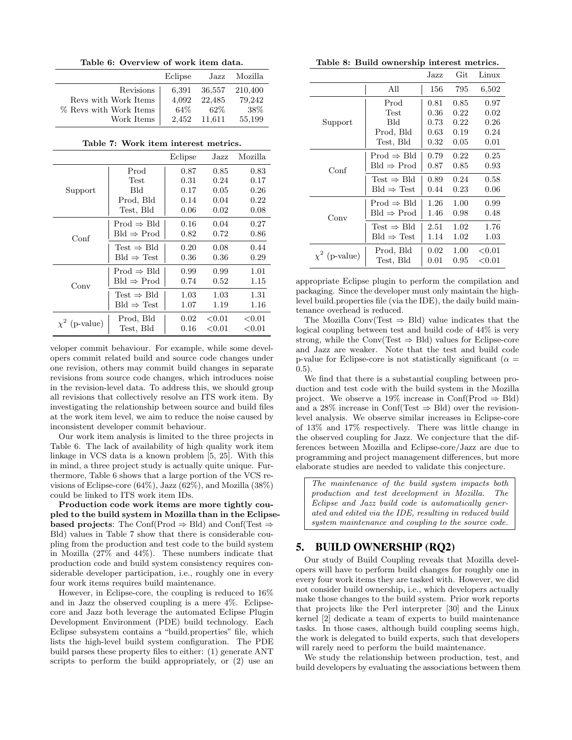Table 6: Overview of work item data.

|                        | Eclipse | Jazz   | Mozilla |
|------------------------|---------|--------|---------|
| Revisions              | 6.391   | 36,557 | 210,400 |
| Revs with Work Items   | 4.092   | 22.485 | 79,242  |
| % Revs with Work Items | 64\%    | $62\%$ | -38%    |
| Work Items             | 2.452   | 11.611 | 55,199  |

Table 7: Work item interest metrics.

|                    |                               | Eclipse | Jazz      | Mozilla                  |
|--------------------|-------------------------------|---------|-----------|--------------------------|
|                    | Prod                          | 0.87    | 0.85      | 0.83                     |
|                    | Test                          | 0.31    | 0.24      | 0.17                     |
| Support            | Bld                           | 0.17    | 0.05      | 0.26                     |
|                    | Prod, Bld                     | 0.14    | 0.04      | 0.22                     |
|                    | Test, Bld                     | 0.06    | 0.02      | 0.08                     |
|                    | $Prod \Rightarrow Bld$        | 0.16    | 0.04      | 0.27                     |
| Conf               | $Bld \Rightarrow \text{Prod}$ | 0.82    | 0.72      | 0.86                     |
|                    | Test $\Rightarrow$ Bld        | 0.20    | 0.08      | 0.44                     |
|                    | $Bld \Rightarrow Test$        | 0.36    | 0.36      | 0.29                     |
|                    | $Prod \Rightarrow Bld$        | 0.99    | 0.99      | 1.01                     |
| Conv               | $Bld \Rightarrow \text{Prod}$ | 0.74    | 0.52      | 1.15                     |
|                    | Test $\Rightarrow$ Bld        | 1.03    | 1.03      | 1.31                     |
|                    | $Bld \Rightarrow Test$        | 1.07    | 1.19      | 1.16                     |
| $\chi^2$ (p-value) | Prod, Bld                     | 0.02    | ${<}0.01$ | ${<}0.01$                |
|                    | Test, Bld                     | 0.16    | ${<}0.01$ | $< \hspace{-0.07cm}0.01$ |

veloper commit behaviour. For example, while some developers commit related build and source code changes under one revision, others may commit build changes in separate revisions from source code changes, which introduces noise in the revision-level data. To address this, we should group all revisions that collectively resolve an ITS work item. By investigating the relationship between source and build files at the work item level, we aim to reduce the noise caused by inconsistent developer commit behaviour.

Our work item analysis is limited to the three projects in Table 6. The lack of availability of high quality work item linkage in VCS data is a known problem [5, 25]. With this in mind, a three project study is actually quite unique. Furthermore, Table 6 shows that a large portion of the VCS revisions of Eclipse-core (64%), Jazz (62%), and Mozilla (38%) could be linked to ITS work item IDs.

Production code work items are more tightly coupled to the build system in Mozilla than in the Eclipse**based projects:** The Conf(Prod  $\Rightarrow$  Bld) and Conf(Test  $\Rightarrow$ Bld) values in Table 7 show that there is considerable coupling from the production and test code to the build system in Mozilla (27% and 44%). These numbers indicate that production code and build system consistency requires considerable developer participation, i.e., roughly one in every four work items requires build maintenance.

However, in Eclipse-core, the coupling is reduced to 16% and in Jazz the observed coupling is a mere 4%. Eclipsecore and Jazz both leverage the automated Eclipse Plugin Development Environment (PDE) build technology. Each Eclipse subsystem contains a "build.properties" file, which lists the high-level build system configuration. The PDE build parses these property files to either: (1) generate ANT scripts to perform the build appropriately, or (2) use an

Table 8: Build ownership interest metrics.

|                    |                               | Jazz | Git  | Linux                    |
|--------------------|-------------------------------|------|------|--------------------------|
|                    | All                           | 156  | 795  | 6,502                    |
|                    | Prod                          | 0.81 | 0.85 | 0.97                     |
|                    | Test                          | 0.36 | 0.22 | 0.02                     |
| Support            | Bld                           | 0.73 | 0.22 | 0.26                     |
|                    | Prod, Bld                     | 0.63 | 0.19 | 0.24                     |
|                    | Test, Bld                     | 0.32 | 0.05 | 0.01                     |
|                    | $Prod \Rightarrow Bld$        | 0.79 | 0.22 | 0.25                     |
| Conf               | $Bld \Rightarrow \text{Prod}$ | 0.87 | 0.85 | 0.93                     |
|                    | Test $\Rightarrow$ Bld        | 0.89 | 0.24 | 0.58                     |
|                    | $Bld \Rightarrow Test$        | 0.44 | 0.23 | 0.06                     |
|                    | $Prod \Rightarrow Bld$        | 1.26 | 1.00 | 0.99                     |
| Conv               | $Bld \Rightarrow \text{Prod}$ | 1.46 | 0.98 | 0.48                     |
|                    | Test $\Rightarrow$ Bld        | 2.51 | 1.02 | 1.76                     |
|                    | $Bld \Rightarrow Test$        | 1.14 | 1.02 | 1.03                     |
|                    | Prod, Bld                     | 0.02 | 1.00 | ${<}0.01$                |
| $\chi^2$ (p-value) | Test, Bld                     | 0.01 | 0.95 | $< \hspace{-0.05cm}0.01$ |

appropriate Eclipse plugin to perform the compilation and packaging. Since the developer must only maintain the highlevel build.properties file (via the IDE), the daily build maintenance overhead is reduced.

The Mozilla Conv(Test  $\Rightarrow$  Bld) value indicates that the logical coupling between test and build code of 44% is very strong, while the Conv(Test  $\Rightarrow$  Bld) values for Eclipse-core and Jazz are weaker. Note that the test and build code p-value for Eclipse-core is not statistically significant ( $\alpha =$  $(0.5)$ .

We find that there is a substantial coupling between production and test code with the build system in the Mozilla project. We observe a 19% increase in Conf(Prod  $\Rightarrow$  Bld) and a 28% increase in Conf(Test  $\Rightarrow$  Bld) over the revisionlevel analysis. We observe similar increases in Eclipse-core of 13% and 17% respectively. There was little change in the observed coupling for Jazz. We conjecture that the differences between Mozilla and Eclipse-core/Jazz are due to programming and project management differences, but more elaborate studies are needed to validate this conjecture.

The maintenance of the build system impacts both production and test development in Mozilla. The Eclipse and Jazz build code is automatically generated and edited via the IDE, resulting in reduced build system maintenance and coupling to the source code.

## 5. BUILD OWNERSHIP (RQ2)

Our study of Build Coupling reveals that Mozilla developers will have to perform build changes for roughly one in every four work items they are tasked with. However, we did not consider build ownership, i.e., which developers actually make those changes to the build system. Prior work reports that projects like the Perl interpreter [30] and the Linux kernel [2] dedicate a team of experts to build maintenance tasks. In those cases, although build coupling seems high, the work is delegated to build experts, such that developers will rarely need to perform the build maintenance.

We study the relationship between production, test, and build developers by evaluating the associations between them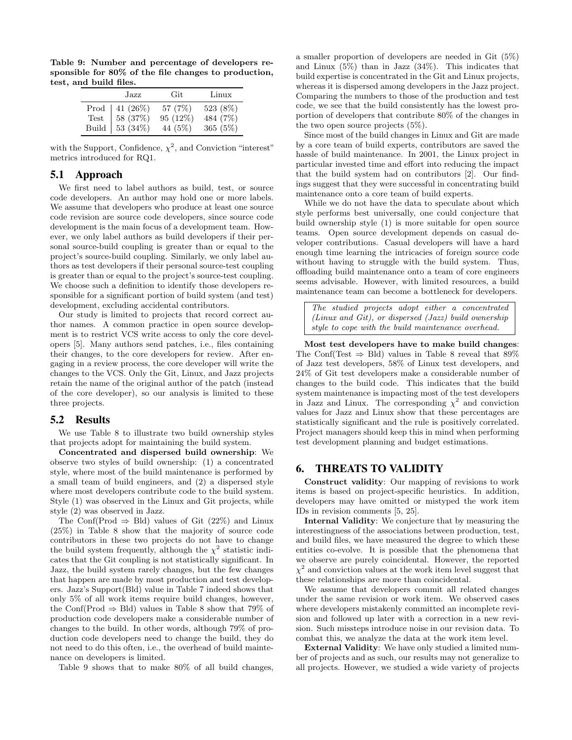Table 9: Number and percentage of developers responsible for 80% of the file changes to production, test, and build files.

| Jazz                                                                                                  | Git                             | Linux                            |
|-------------------------------------------------------------------------------------------------------|---------------------------------|----------------------------------|
| Prod   $41 (26\%)$<br>Test   $58 (37\%)$<br>Build $\Big  53 \overline{\smash{\big(34\% \big)}} \Big $ | 57 (7\%)<br>95 (12%)<br>44 (5%) | 523 (8%)<br>484 (7%)<br>365 (5%) |

with the Support, Confidence,  $\chi^2$ , and Conviction "interest" metrics introduced for RQ1.

## 5.1 Approach

We first need to label authors as build, test, or source code developers. An author may hold one or more labels. We assume that developers who produce at least one source code revision are source code developers, since source code development is the main focus of a development team. However, we only label authors as build developers if their personal source-build coupling is greater than or equal to the project's source-build coupling. Similarly, we only label authors as test developers if their personal source-test coupling is greater than or equal to the project's source-test coupling. We choose such a definition to identify those developers responsible for a significant portion of build system (and test) development, excluding accidental contributors.

Our study is limited to projects that record correct author names. A common practice in open source development is to restrict VCS write access to only the core developers [5]. Many authors send patches, i.e., files containing their changes, to the core developers for review. After engaging in a review process, the core developer will write the changes to the VCS. Only the Git, Linux, and Jazz projects retain the name of the original author of the patch (instead of the core developer), so our analysis is limited to these three projects.

#### 5.2 Results

We use Table 8 to illustrate two build ownership styles that projects adopt for maintaining the build system.

Concentrated and dispersed build ownership: We observe two styles of build ownership: (1) a concentrated style, where most of the build maintenance is performed by a small team of build engineers, and (2) a dispersed style where most developers contribute code to the build system. Style (1) was observed in the Linux and Git projects, while style (2) was observed in Jazz.

The Conf(Prod  $\Rightarrow$  Bld) values of Git (22%) and Linux (25%) in Table 8 show that the majority of source code contributors in these two projects do not have to change the build system frequently, although the  $\chi^2$  statistic indicates that the Git coupling is not statistically significant. In Jazz, the build system rarely changes, but the few changes that happen are made by most production and test developers. Jazz's Support(Bld) value in Table 7 indeed shows that only 5% of all work items require build changes, however, the Conf(Prod  $\Rightarrow$  Bld) values in Table 8 show that 79% of production code developers make a considerable number of changes to the build. In other words, although 79% of production code developers need to change the build, they do not need to do this often, i.e., the overhead of build maintenance on developers is limited.

Table 9 shows that to make 80% of all build changes,

a smaller proportion of developers are needed in Git (5%) and Linux  $(5\%)$  than in Jazz  $(34\%)$ . This indicates that build expertise is concentrated in the Git and Linux projects, whereas it is dispersed among developers in the Jazz project. Comparing the numbers to those of the production and test code, we see that the build consistently has the lowest proportion of developers that contribute 80% of the changes in the two open source projects (5%).

Since most of the build changes in Linux and Git are made by a core team of build experts, contributors are saved the hassle of build maintenance. In 2001, the Linux project in particular invested time and effort into reducing the impact that the build system had on contributors [2]. Our findings suggest that they were successful in concentrating build maintenance onto a core team of build experts.

While we do not have the data to speculate about which style performs best universally, one could conjecture that build ownership style (1) is more suitable for open source teams. Open source development depends on casual developer contributions. Casual developers will have a hard enough time learning the intricacies of foreign source code without having to struggle with the build system. Thus, offloading build maintenance onto a team of core engineers seems advisable. However, with limited resources, a build maintenance team can become a bottleneck for developers.

The studied projects adopt either a concentrated (Linux and Git), or dispersed (Jazz) build ownership style to cope with the build maintenance overhead.

Most test developers have to make build changes: The Conf(Test  $\Rightarrow$  Bld) values in Table 8 reveal that 89% of Jazz test developers, 58% of Linux test developers, and 24% of Git test developers make a considerable number of changes to the build code. This indicates that the build system maintenance is impacting most of the test developers in Jazz and Linux. The corresponding  $\chi^2$  and conviction values for Jazz and Linux show that these percentages are statistically significant and the rule is positively correlated. Project managers should keep this in mind when performing test development planning and budget estimations.

## 6. THREATS TO VALIDITY

Construct validity: Our mapping of revisions to work items is based on project-specific heuristics. In addition, developers may have omitted or mistyped the work item IDs in revision comments [5, 25].

Internal Validity: We conjecture that by measuring the interestingness of the associations between production, test, and build files, we have measured the degree to which these entities co-evolve. It is possible that the phenomena that we observe are purely coincidental. However, the reported  $\chi^2$  and conviction values at the work item level suggest that these relationships are more than coincidental.

We assume that developers commit all related changes under the same revision or work item. We observed cases where developers mistakenly committed an incomplete revision and followed up later with a correction in a new revision. Such missteps introduce noise in our revision data. To combat this, we analyze the data at the work item level.

External Validity: We have only studied a limited number of projects and as such, our results may not generalize to all projects. However, we studied a wide variety of projects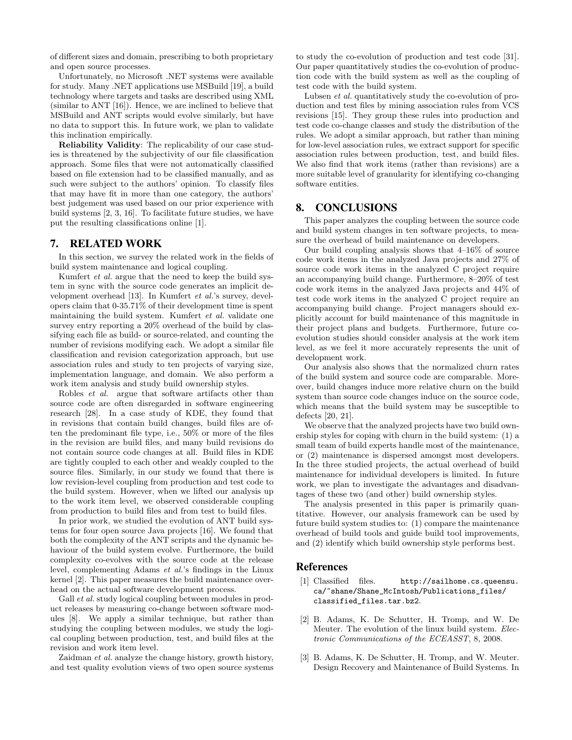of different sizes and domain, prescribing to both proprietary and open source processes.

Unfortunately, no Microsoft .NET systems were available for study. Many .NET applications use MSBuild [19], a build technology where targets and tasks are described using XML (similar to ANT [16]). Hence, we are inclined to believe that MSBuild and ANT scripts would evolve similarly, but have no data to support this. In future work, we plan to validate this inclination empirically.

Reliability Validity: The replicability of our case studies is threatened by the subjectivity of our file classification approach. Some files that were not automatically classified based on file extension had to be classified manually, and as such were subject to the authors' opinion. To classify files that may have fit in more than one category, the authors' best judgement was used based on our prior experience with build systems [2, 3, 16]. To facilitate future studies, we have put the resulting classifications online [1].

#### 7. RELATED WORK

In this section, we survey the related work in the fields of build system maintenance and logical coupling.

Kumfert et al. argue that the need to keep the build system in sync with the source code generates an implicit development overhead [13]. In Kumfert et al.'s survey, developers claim that 0-35.71% of their development time is spent maintaining the build system. Kumfert et al. validate one survey entry reporting a 20% overhead of the build by classifying each file as build- or source-related, and counting the number of revisions modifying each. We adopt a similar file classification and revision categorization approach, but use association rules and study to ten projects of varying size, implementation language, and domain. We also perform a work item analysis and study build ownership styles.

Robles et al. argue that software artifacts other than source code are often disregarded in software engineering research [28]. In a case study of KDE, they found that in revisions that contain build changes, build files are often the predominant file type, i.e., 50% or more of the files in the revision are build files, and many build revisions do not contain source code changes at all. Build files in KDE are tightly coupled to each other and weakly coupled to the source files. Similarly, in our study we found that there is low revision-level coupling from production and test code to the build system. However, when we lifted our analysis up to the work item level, we observed considerable coupling from production to build files and from test to build files.

In prior work, we studied the evolution of ANT build systems for four open source Java projects [16]. We found that both the complexity of the ANT scripts and the dynamic behaviour of the build system evolve. Furthermore, the build complexity co-evolves with the source code at the release level, complementing Adams et al.'s findings in the Linux kernel [2]. This paper measures the build maintenance overhead on the actual software development process.

Gall *et al.* study logical coupling between modules in product releases by measuring co-change between software modules [8]. We apply a similar technique, but rather than studying the coupling between modules, we study the logical coupling between production, test, and build files at the revision and work item level.

Zaidman et al. analyze the change history, growth history, and test quality evolution views of two open source systems to study the co-evolution of production and test code [31]. Our paper quantitatively studies the co-evolution of production code with the build system as well as the coupling of test code with the build system.

Lubsen et al. quantitatively study the co-evolution of production and test files by mining association rules from VCS revisions [15]. They group these rules into production and test code co-change classes and study the distribution of the rules. We adopt a similar approach, but rather than mining for low-level association rules, we extract support for specific association rules between production, test, and build files. We also find that work items (rather than revisions) are a more suitable level of granularity for identifying co-changing software entities.

## 8. CONCLUSIONS

This paper analyzes the coupling between the source code and build system changes in ten software projects, to measure the overhead of build maintenance on developers.

Our build coupling analysis shows that  $4\n-16\%$  of source code work items in the analyzed Java projects and 27% of source code work items in the analyzed C project require an accompanying build change. Furthermore, 8–20% of test code work items in the analyzed Java projects and 44% of test code work items in the analyzed C project require an accompanying build change. Project managers should explicitly account for build maintenance of this magnitude in their project plans and budgets. Furthermore, future coevolution studies should consider analysis at the work item level, as we feel it more accurately represents the unit of development work.

Our analysis also shows that the normalized churn rates of the build system and source code are comparable. Moreover, build changes induce more relative churn on the build system than source code changes induce on the source code, which means that the build system may be susceptible to defects [20, 21].

We observe that the analyzed projects have two build ownership styles for coping with churn in the build system: (1) a small team of build experts handle most of the maintenance, or (2) maintenance is dispersed amongst most developers. In the three studied projects, the actual overhead of build maintenance for individual developers is limited. In future work, we plan to investigate the advantages and disadvantages of these two (and other) build ownership styles.

The analysis presented in this paper is primarily quantitative. However, our analysis framework can be used by future build system studies to: (1) compare the maintenance overhead of build tools and guide build tool improvements, and (2) identify which build ownership style performs best.

#### References

- [1] Classified files. http://sailhome.cs.queensu. ca/~shane/Shane\_McIntosh/Publications\_files/ classified\_files.tar.bz2.
- [2] B. Adams, K. De Schutter, H. Tromp, and W. De Meuter. The evolution of the linux build system. Electronic Communications of the ECEASST, 8, 2008.
- [3] B. Adams, K. De Schutter, H. Tromp, and W. Meuter. Design Recovery and Maintenance of Build Systems. In